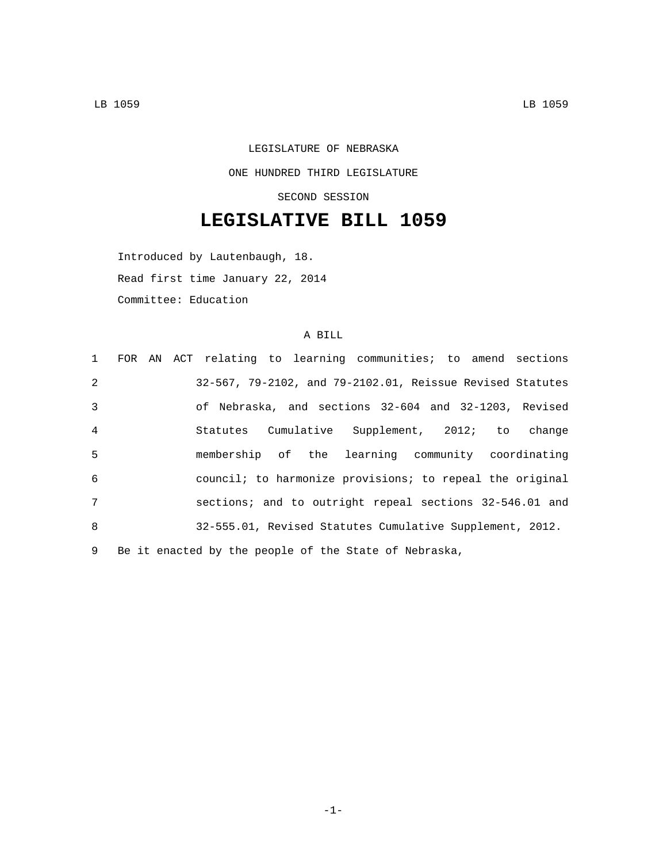LEGISLATURE OF NEBRASKA ONE HUNDRED THIRD LEGISLATURE SECOND SESSION

## **LEGISLATIVE BILL 1059**

Introduced by Lautenbaugh, 18. Read first time January 22, 2014 Committee: Education

## A BILL

|                 | 1 FOR AN ACT relating to learning communities; to amend sections |
|-----------------|------------------------------------------------------------------|
| 2               | 32-567, 79-2102, and 79-2102.01, Reissue Revised Statutes        |
| $\overline{3}$  | of Nebraska, and sections 32-604 and 32-1203, Revised            |
| $\overline{4}$  | Statutes Cumulative Supplement, 2012; to change                  |
| 5               | membership of the learning community coordinating                |
| 6               | council; to harmonize provisions; to repeal the original         |
| $7\overline{ }$ | sections; and to outright repeal sections 32-546.01 and          |
| 8               | 32-555.01, Revised Statutes Cumulative Supplement, 2012.         |
| 9               | Be it enacted by the people of the State of Nebraska,            |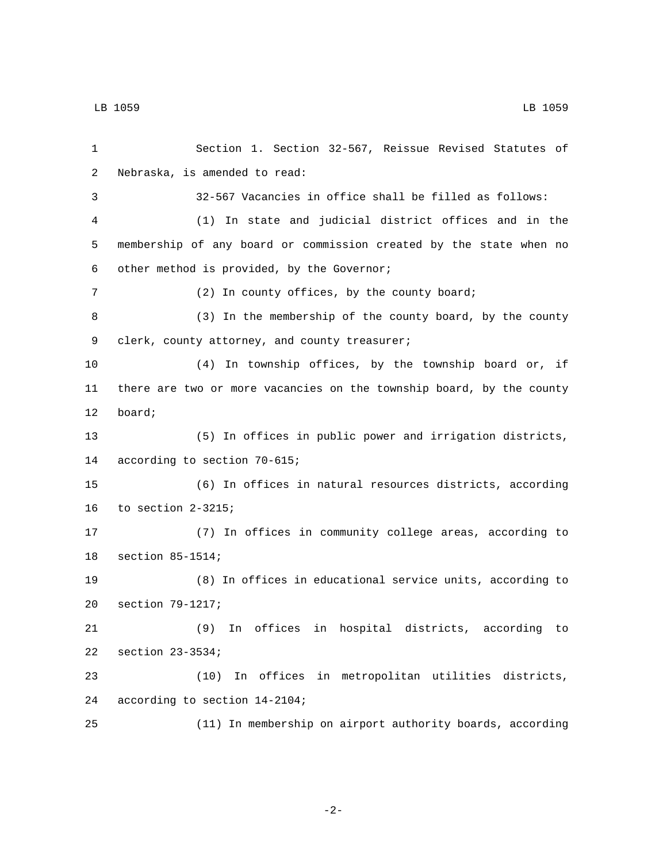1 Section 1. Section 32-567, Reissue Revised Statutes of 2 Nebraska, is amended to read: 3 32-567 Vacancies in office shall be filled as follows: 4 (1) In state and judicial district offices and in the 5 membership of any board or commission created by the state when no other method is provided, by the Governor;6 7 (2) In county offices, by the county board; 8 (3) In the membership of the county board, by the county 9 clerk, county attorney, and county treasurer; 10 (4) In township offices, by the township board or, if 11 there are two or more vacancies on the township board, by the county 12 board; 13 (5) In offices in public power and irrigation districts, 14 according to section 70-615; 15 (6) In offices in natural resources districts, according 16 to section  $2-3215$ ; 17 (7) In offices in community college areas, according to 18 section 85-1514; 19 (8) In offices in educational service units, according to 20 section 79-1217; 21 (9) In offices in hospital districts, according to 22 section 23-3534; 23 (10) In offices in metropolitan utilities districts, 24 according to section 14-2104; 25 (11) In membership on airport authority boards, according

-2-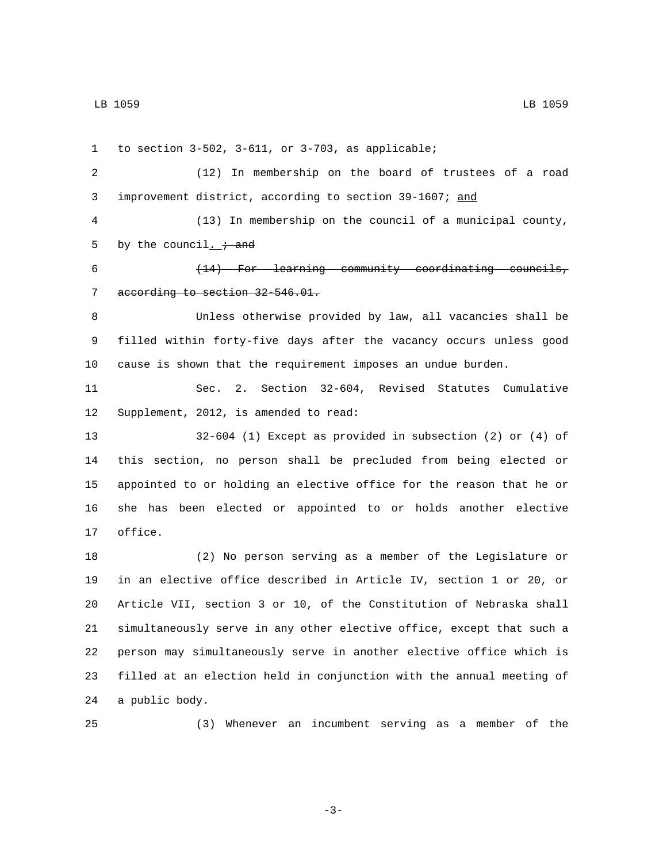1 to section  $3-502$ ,  $3-611$ , or  $3-703$ , as applicable; (12) In membership on the board of trustees of a road improvement district, according to section 39-1607; and (13) In membership on the council of a municipal county, 5 by the council.  $\div$  and (14) For learning community coordinating councils, 7 according to section 32-546.01. Unless otherwise provided by law, all vacancies shall be filled within forty-five days after the vacancy occurs unless good cause is shown that the requirement imposes an undue burden. Sec. 2. Section 32-604, Revised Statutes Cumulative 12 Supplement, 2012, is amended to read: 32-604 (1) Except as provided in subsection (2) or (4) of this section, no person shall be precluded from being elected or appointed to or holding an elective office for the reason that he or she has been elected or appointed to or holds another elective 17 office. (2) No person serving as a member of the Legislature or in an elective office described in Article IV, section 1 or 20, or Article VII, section 3 or 10, of the Constitution of Nebraska shall simultaneously serve in any other elective office, except that such a person may simultaneously serve in another elective office which is filled at an election held in conjunction with the annual meeting of 24 a public body.

(3) Whenever an incumbent serving as a member of the

-3-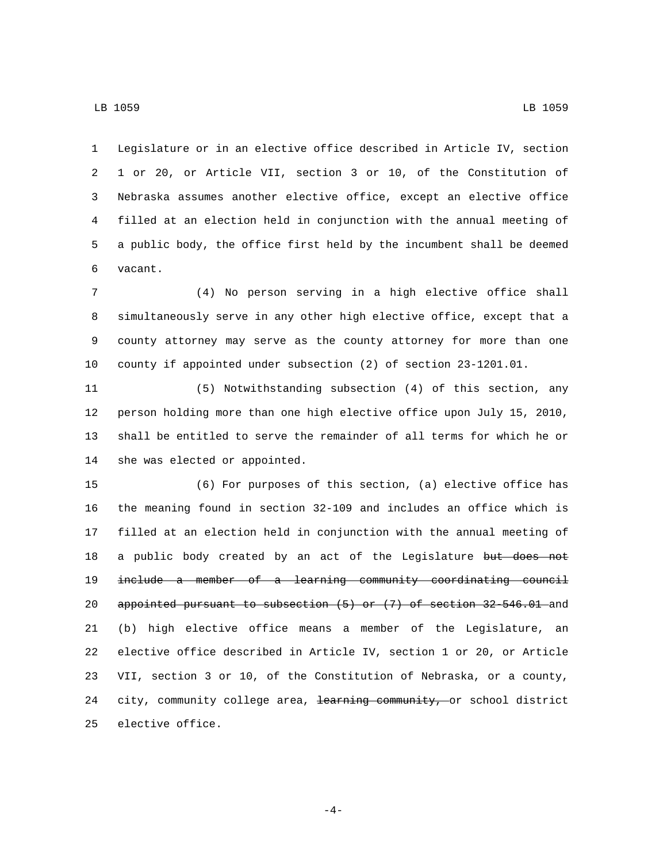Legislature or in an elective office described in Article IV, section 1 or 20, or Article VII, section 3 or 10, of the Constitution of Nebraska assumes another elective office, except an elective office filled at an election held in conjunction with the annual meeting of a public body, the office first held by the incumbent shall be deemed 6 vacant.

 (4) No person serving in a high elective office shall simultaneously serve in any other high elective office, except that a county attorney may serve as the county attorney for more than one county if appointed under subsection (2) of section 23-1201.01.

 (5) Notwithstanding subsection (4) of this section, any person holding more than one high elective office upon July 15, 2010, shall be entitled to serve the remainder of all terms for which he or 14 she was elected or appointed.

 (6) For purposes of this section, (a) elective office has the meaning found in section 32-109 and includes an office which is filled at an election held in conjunction with the annual meeting of 18 a public body created by an act of the Legislature but does not include a member of a learning community coordinating council appointed pursuant to subsection (5) or (7) of section 32-546.01 and (b) high elective office means a member of the Legislature, an elective office described in Article IV, section 1 or 20, or Article VII, section 3 or 10, of the Constitution of Nebraska, or a county, 24 city, community college area, <del>learning community, o</del>r school district 25 elective office.

-4-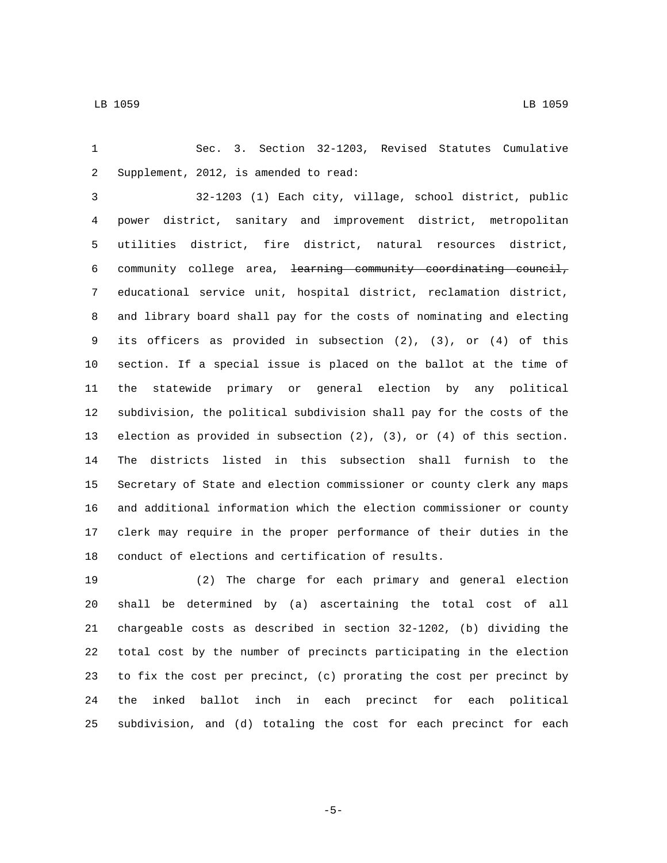Sec. 3. Section 32-1203, Revised Statutes Cumulative 2 Supplement, 2012, is amended to read:

 32-1203 (1) Each city, village, school district, public power district, sanitary and improvement district, metropolitan utilities district, fire district, natural resources district, community college area, learning community coordinating council, educational service unit, hospital district, reclamation district, and library board shall pay for the costs of nominating and electing its officers as provided in subsection (2), (3), or (4) of this section. If a special issue is placed on the ballot at the time of the statewide primary or general election by any political subdivision, the political subdivision shall pay for the costs of the election as provided in subsection (2), (3), or (4) of this section. The districts listed in this subsection shall furnish to the Secretary of State and election commissioner or county clerk any maps and additional information which the election commissioner or county clerk may require in the proper performance of their duties in the conduct of elections and certification of results.

 (2) The charge for each primary and general election shall be determined by (a) ascertaining the total cost of all chargeable costs as described in section 32-1202, (b) dividing the total cost by the number of precincts participating in the election to fix the cost per precinct, (c) prorating the cost per precinct by the inked ballot inch in each precinct for each political subdivision, and (d) totaling the cost for each precinct for each

-5-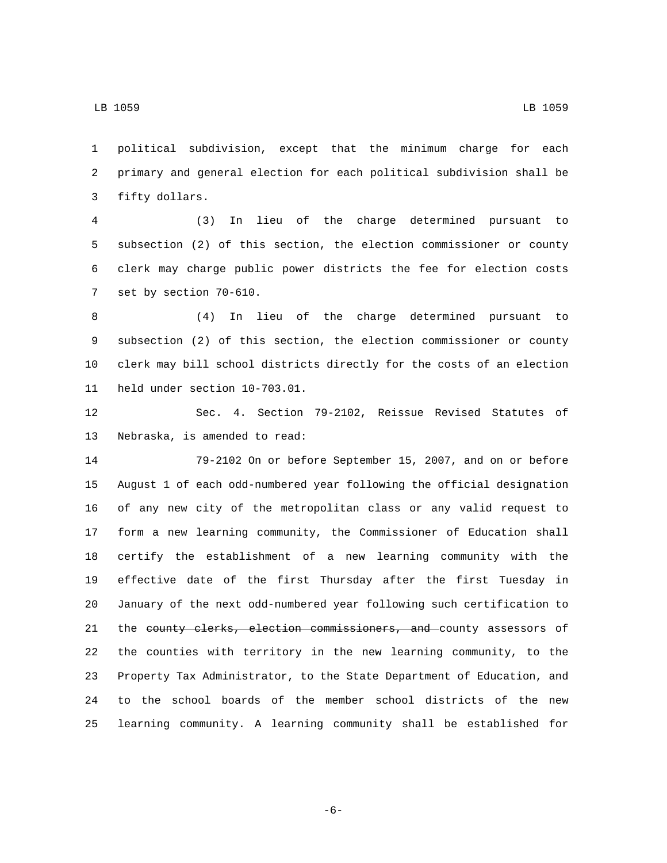political subdivision, except that the minimum charge for each primary and general election for each political subdivision shall be 3 fifty dollars.

 (3) In lieu of the charge determined pursuant to subsection (2) of this section, the election commissioner or county clerk may charge public power districts the fee for election costs 7 set by section 70-610.

 (4) In lieu of the charge determined pursuant to subsection (2) of this section, the election commissioner or county clerk may bill school districts directly for the costs of an election 11 held under section 10-703.01.

 Sec. 4. Section 79-2102, Reissue Revised Statutes of 13 Nebraska, is amended to read:

 79-2102 On or before September 15, 2007, and on or before August 1 of each odd-numbered year following the official designation of any new city of the metropolitan class or any valid request to form a new learning community, the Commissioner of Education shall certify the establishment of a new learning community with the effective date of the first Thursday after the first Tuesday in January of the next odd-numbered year following such certification to 21 the county clerks, election commissioners, and county assessors of the counties with territory in the new learning community, to the Property Tax Administrator, to the State Department of Education, and to the school boards of the member school districts of the new learning community. A learning community shall be established for

-6-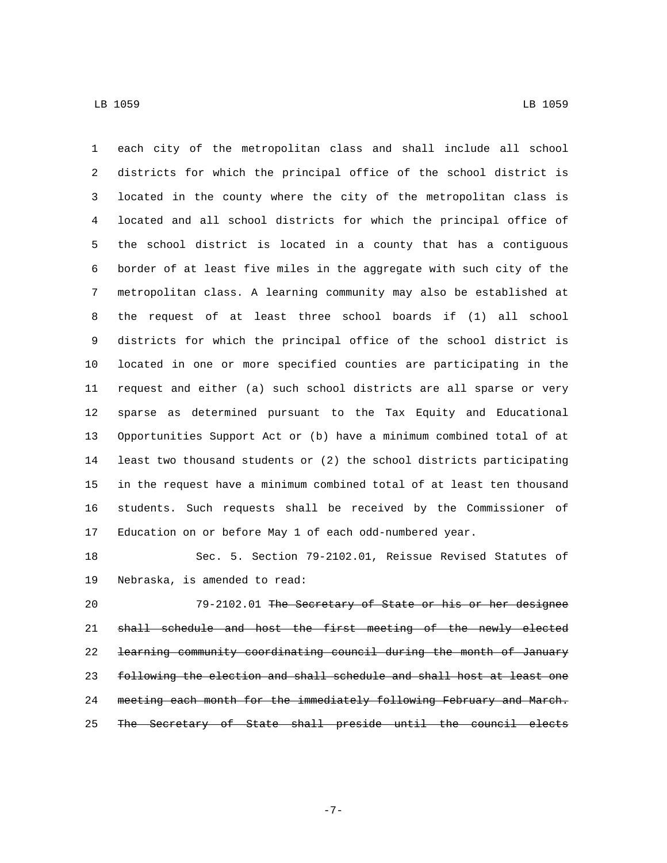each city of the metropolitan class and shall include all school districts for which the principal office of the school district is located in the county where the city of the metropolitan class is located and all school districts for which the principal office of the school district is located in a county that has a contiguous border of at least five miles in the aggregate with such city of the metropolitan class. A learning community may also be established at the request of at least three school boards if (1) all school districts for which the principal office of the school district is located in one or more specified counties are participating in the request and either (a) such school districts are all sparse or very sparse as determined pursuant to the Tax Equity and Educational Opportunities Support Act or (b) have a minimum combined total of at least two thousand students or (2) the school districts participating in the request have a minimum combined total of at least ten thousand students. Such requests shall be received by the Commissioner of Education on or before May 1 of each odd-numbered year.

 Sec. 5. Section 79-2102.01, Reissue Revised Statutes of 19 Nebraska, is amended to read:

 79-2102.01 The Secretary of State or his or her designee shall schedule and host the first meeting of the newly elected learning community coordinating council during the month of January following the election and shall schedule and shall host at least one meeting each month for the immediately following February and March. The Secretary of State shall preside until the council elects